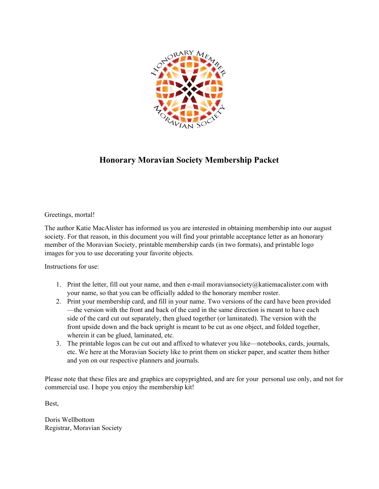

## **Honorary Moravian Society Membership Packet**

Greetings, mortal!

The author Katie MacAlister has informed us you are interested in obtaining membership into our august society. For that reason, in this document you will find your printable acceptance letter as an honorary member of the Moravian Society, printable membership cards (in two formats), and printable logo images for you to use decorating your favorite objects.

Instructions for use:

- 1. Print the letter, fill out your name, and then e-mail moraviansociety@katiemacalister.com with your name, so that you can be officially added to the honorary member roster.
- 2. Print your membership card, and fill in your name. Two versions of the card have been provided —the version with the front and back of the card in the same direction is meant to have each side of the card cut out separately, then glued together (or laminated). The version with the front upside down and the back upright is meant to be cut as one object, and folded together, wherein it can be glued, laminated, etc.
- 3. The printable logos can be cut out and affixed to whatever you like—notebooks, cards, journals, etc. We here at the Moravian Society like to print them on sticker paper, and scatter them hither and yon on our respective planners and journals.

Please note that these files are and graphics are copyprighted, and are for your personal use only, and not for commercial use. I hope you enjoy the membership kit!

Best,

Doris Wellbottom Registrar, Moravian Society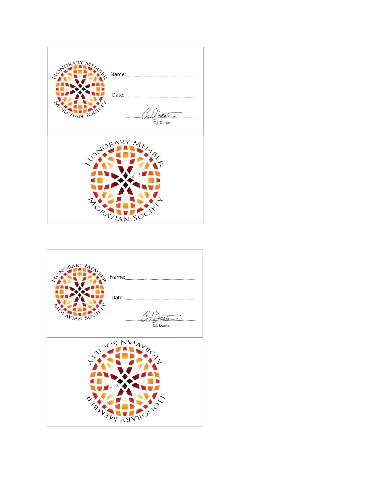

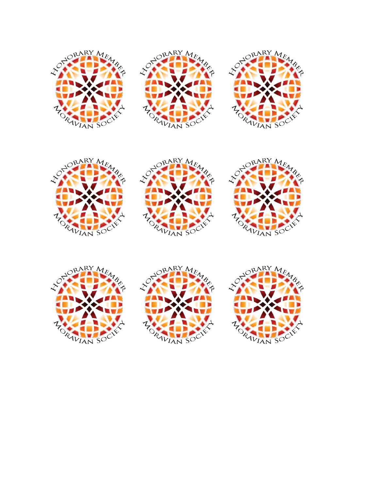